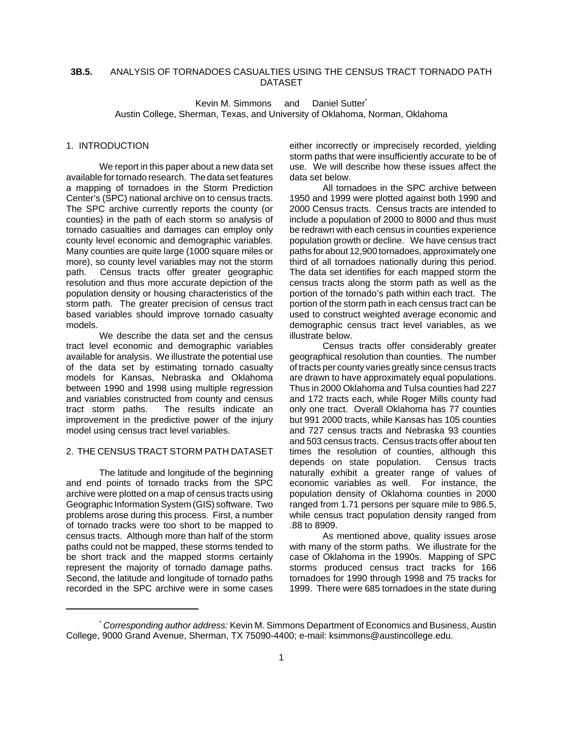### **3B.5.** ANALYSIS OF TORNADOES CASUALTIES USING THE CENSUS TRACT TORNADO PATH DATASET

Kevin M. Simmons and Daniel Sutter\* Austin College, Sherman, Texas, and University of Oklahoma, Norman, Oklahoma

#### 1. INTRODUCTION

We report in this paper about a new data set available for tornado research. The data set features a mapping of tornadoes in the Storm Prediction Center's (SPC) national archive on to census tracts. The SPC archive currently reports the county (or counties) in the path of each storm so analysis of tornado casualties and damages can employ only county level economic and demographic variables. Many counties are quite large (1000 square miles or more), so county level variables may not the storm path. Census tracts offer greater geographic resolution and thus more accurate depiction of the population density or housing characteristics of the storm path. The greater precision of census tract based variables should improve tornado casualty models.

We describe the data set and the census tract level economic and demographic variables available for analysis. We illustrate the potential use of the data set by estimating tornado casualty models for Kansas, Nebraska and Oklahoma between 1990 and 1998 using multiple regression and variables constructed from county and census tract storm paths. The results indicate an improvement in the predictive power of the injury model using census tract level variables.

### 2. THE CENSUS TRACT STORM PATH DATASET

The latitude and longitude of the beginning and end points of tornado tracks from the SPC archive were plotted on a map of census tracts using Geographic Information System (GIS) software. Two problems arose during this process. First, a number of tornado tracks were too short to be mapped to census tracts. Although more than half of the storm paths could not be mapped, these storms tended to be short track and the mapped storms certainly represent the majority of tornado damage paths. Second, the latitude and longitude of tornado paths recorded in the SPC archive were in some cases

either incorrectly or imprecisely recorded, yielding storm paths that were insufficiently accurate to be of use. We will describe how these issues affect the data set below.

All tornadoes in the SPC archive between 1950 and 1999 were plotted against both 1990 and 2000 Census tracts. Census tracts are intended to include a population of 2000 to 8000 and thus must be redrawn with each census in counties experience population growth or decline. We have census tract paths for about 12,900 tornadoes, approximately one third of all tornadoes nationally during this period. The data set identifies for each mapped storm the census tracts along the storm path as well as the portion of the tornado's path within each tract. The portion of the storm path in each census tract can be used to construct weighted average economic and demographic census tract level variables, as we illustrate below.

Census tracts offer considerably greater geographical resolution than counties. The number of tracts per county varies greatly since census tracts are drawn to have approximately equal populations. Thus in 2000 Oklahoma and Tulsa counties had 227 and 172 tracts each, while Roger Mills county had only one tract. Overall Oklahoma has 77 counties but 991 2000 tracts, while Kansas has 105 counties and 727 census tracts and Nebraska 93 counties and 503 census tracts. Census tracts offer about ten times the resolution of counties, although this depends on state population. Census tracts naturally exhibit a greater range of values of economic variables as well. For instance, the population density of Oklahoma counties in 2000 ranged from 1.71 persons per square mile to 986.5, while census tract population density ranged from .88 to 8909.

As mentioned above, quality issues arose with many of the storm paths. We illustrate for the case of Oklahoma in the 1990s. Mapping of SPC storms produced census tract tracks for 166 tornadoes for 1990 through 1998 and 75 tracks for 1999. There were 685 tornadoes in the state during

<sup>\*</sup> *Corresponding author address:* Kevin M. Simmons Department of Economics and Business, Austin College, 9000 Grand Avenue, Sherman, TX 75090-4400; e-mail: ksimmons@austincollege.edu.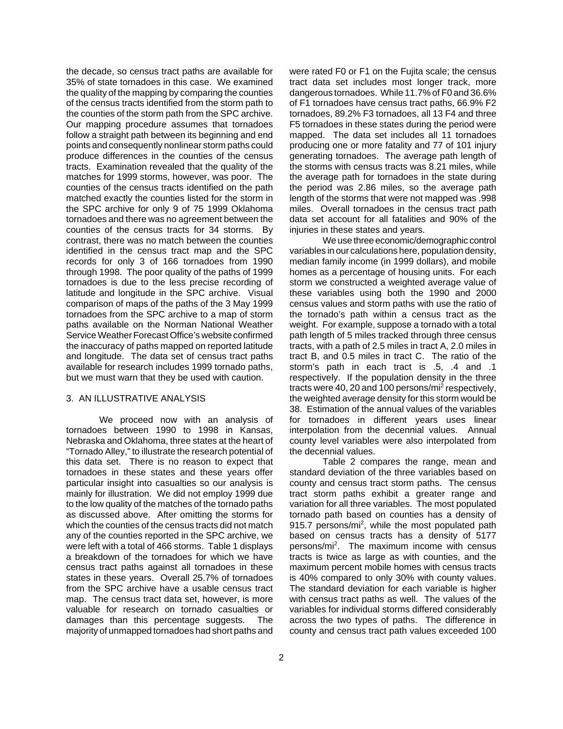the decade, so census tract paths are available for 35% of state tornadoes in this case. We examined the quality of the mapping by comparing the counties of the census tracts identified from the storm path to the counties of the storm path from the SPC archive. Our mapping procedure assumes that tornadoes follow a straight path between its beginning and end points and consequently nonlinear storm paths could produce differences in the counties of the census tracts. Examination revealed that the quality of the matches for 1999 storms, however, was poor. The counties of the census tracts identified on the path matched exactly the counties listed for the storm in the SPC archive for only 9 of 75 1999 Oklahoma tornadoes and there was no agreement between the counties of the census tracts for 34 storms. By contrast, there was no match between the counties identified in the census tract map and the SPC records for only 3 of 166 tornadoes from 1990 through 1998. The poor quality of the paths of 1999 tornadoes is due to the less precise recording of latitude and longitude in the SPC archive. Visual comparison of maps of the paths of the 3 May 1999 tornadoes from the SPC archive to a map of storm paths available on the Norman National Weather Service Weather Forecast Office's website confirmed the inaccuracy of paths mapped on reported latitude and longitude. The data set of census tract paths available for research includes 1999 tornado paths, but we must warn that they be used with caution.

#### 3. AN ILLUSTRATIVE ANALYSIS

We proceed now with an analysis of tornadoes between 1990 to 1998 in Kansas, Nebraska and Oklahoma, three states at the heart of "Tornado Alley," to illustrate the research potential of this data set. There is no reason to expect that tornadoes in these states and these years offer particular insight into casualties so our analysis is mainly for illustration. We did not employ 1999 due to the low quality of the matches of the tornado paths as discussed above. After omitting the storms for which the counties of the census tracts did not match any of the counties reported in the SPC archive, we were left with a total of 466 storms. Table 1 displays a breakdown of the tornadoes for which we have census tract paths against all tornadoes in these states in these years. Overall 25.7% of tornadoes from the SPC archive have a usable census tract map. The census tract data set, however, is more valuable for research on tornado casualties or damages than this percentage suggests. The majority of unmapped tornadoes had short paths and

were rated F0 or F1 on the Fujita scale; the census tract data set includes most longer track, more dangerous tornadoes. While 11.7% of F0 and 36.6% of F1 tornadoes have census tract paths, 66.9% F2 tornadoes, 89.2% F3 tornadoes, all 13 F4 and three F5 tornadoes in these states during the period were mapped. The data set includes all 11 tornadoes producing one or more fatality and 77 of 101 injury generating tornadoes. The average path length of the storms with census tracts was 8.21 miles, while the average path for tornadoes in the state during the period was 2.86 miles, so the average path length of the storms that were not mapped was .998 miles. Overall tornadoes in the census tract path data set account for all fatalities and 90% of the injuries in these states and years.

We use three economic/demographic control variables in our calculations here, population density, median family income (in 1999 dollars), and mobile homes as a percentage of housing units. For each storm we constructed a weighted average value of these variables using both the 1990 and 2000 census values and storm paths with use the ratio of the tornado's path within a census tract as the weight. For example, suppose a tornado with a total path length of 5 miles tracked through three census tracts, with a path of 2.5 miles in tract A, 2.0 miles in tract B, and 0.5 miles in tract C. The ratio of the storm's path in each tract is .5, .4 and .1 respectively. If the population density in the three tracts were 40, 20 and 100 persons/mi<sup>2</sup> respectively, the weighted average density for this storm would be 38. Estimation of the annual values of the variables for tornadoes in different years uses linear interpolation from the decennial values. Annual county level variables were also interpolated from the decennial values.

Table 2 compares the range, mean and standard deviation of the three variables based on county and census tract storm paths. The census tract storm paths exhibit a greater range and variation for all three variables. The most populated tornado path based on counties has a density of 915.7 persons/mi<sup>2</sup>, while the most populated path based on census tracts has a density of 5177 persons/mi<sup>2</sup>. The maximum income with census tracts is twice as large as with counties, and the maximum percent mobile homes with census tracts is 40% compared to only 30% with county values. The standard deviation for each variable is higher with census tract paths as well. The values of the variables for individual storms differed considerably across the two types of paths. The difference in county and census tract path values exceeded 100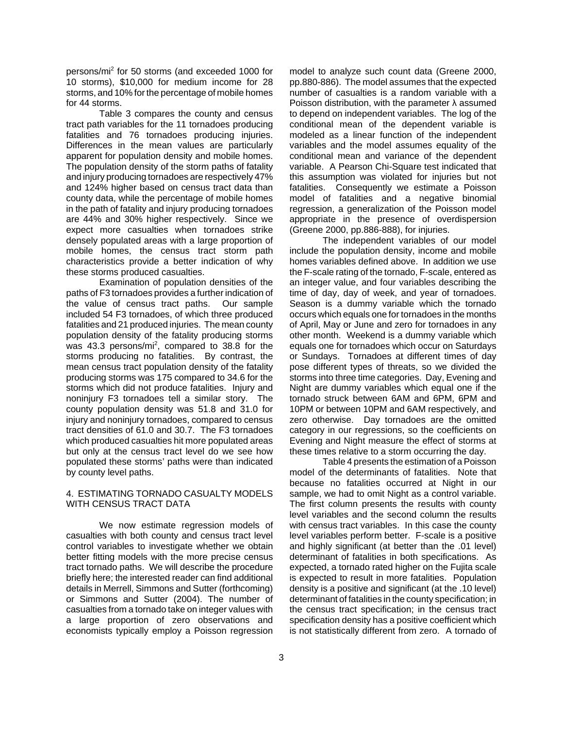persons/mi<sup>2</sup> for 50 storms (and exceeded 1000 for 10 storms), \$10,000 for medium income for 28 storms, and 10% for the percentage of mobile homes for 44 storms.

Table 3 compares the county and census tract path variables for the 11 tornadoes producing fatalities and 76 tornadoes producing injuries. Differences in the mean values are particularly apparent for population density and mobile homes. The population density of the storm paths of fatality and injury producing tornadoes are respectively 47% and 124% higher based on census tract data than county data, while the percentage of mobile homes in the path of fatality and injury producing tornadoes are 44% and 30% higher respectively. Since we expect more casualties when tornadoes strike densely populated areas with a large proportion of mobile homes, the census tract storm path characteristics provide a better indication of why these storms produced casualties.

Examination of population densities of the paths of F3 tornadoes provides a further indication of the value of census tract paths. Our sample included 54 F3 tornadoes, of which three produced fatalities and 21 produced injuries. The mean county population density of the fatality producing storms was 43.3 persons/mi<sup>2</sup>, compared to 38.8 for the storms producing no fatalities. By contrast, the mean census tract population density of the fatality producing storms was 175 compared to 34.6 for the storms which did not produce fatalities. Injury and noninjury F3 tornadoes tell a similar story. The county population density was 51.8 and 31.0 for injury and noninjury tornadoes, compared to census tract densities of 61.0 and 30.7. The F3 tornadoes which produced casualties hit more populated areas but only at the census tract level do we see how populated these storms' paths were than indicated by county level paths.

#### 4. ESTIMATING TORNADO CASUALTY MODELS WITH CENSUS TRACT DATA

We now estimate regression models of casualties with both county and census tract level control variables to investigate whether we obtain better fitting models with the more precise census tract tornado paths. We will describe the procedure briefly here; the interested reader can find additional details in Merrell, Simmons and Sutter (forthcoming) or Simmons and Sutter (2004). The number of casualties from a tornado take on integer values with a large proportion of zero observations and economists typically employ a Poisson regression

model to analyze such count data (Greene 2000, pp.880-886). The model assumes that the expected number of casualties is a random variable with a Poisson distribution, with the parameter  $\lambda$  assumed to depend on independent variables. The log of the conditional mean of the dependent variable is modeled as a linear function of the independent variables and the model assumes equality of the conditional mean and variance of the dependent variable. A Pearson Chi-Square test indicated that this assumption was violated for injuries but not fatalities. Consequently we estimate a Poisson model of fatalities and a negative binomial regression, a generalization of the Poisson model appropriate in the presence of overdispersion (Greene 2000, pp.886-888), for injuries.

The independent variables of our model include the population density, income and mobile homes variables defined above. In addition we use the F-scale rating of the tornado, F-scale, entered as an integer value, and four variables describing the time of day, day of week, and year of tornadoes. Season is a dummy variable which the tornado occurs which equals one for tornadoes in the months of April, May or June and zero for tornadoes in any other month. Weekend is a dummy variable which equals one for tornadoes which occur on Saturdays or Sundays. Tornadoes at different times of day pose different types of threats, so we divided the storms into three time categories. Day, Evening and Night are dummy variables which equal one if the tornado struck between 6AM and 6PM, 6PM and 10PM or between 10PM and 6AM respectively, and zero otherwise. Day tornadoes are the omitted category in our regressions, so the coefficients on Evening and Night measure the effect of storms at these times relative to a storm occurring the day.

Table 4 presents the estimation of a Poisson model of the determinants of fatalities. Note that because no fatalities occurred at Night in our sample, we had to omit Night as a control variable. The first column presents the results with county level variables and the second column the results with census tract variables. In this case the county level variables perform better. F-scale is a positive and highly significant (at better than the .01 level) determinant of fatalities in both specifications. As expected, a tornado rated higher on the Fujita scale is expected to result in more fatalities. Population density is a positive and significant (at the .10 level) determinant of fatalities in the county specification; in the census tract specification; in the census tract specification density has a positive coefficient which is not statistically different from zero. A tornado of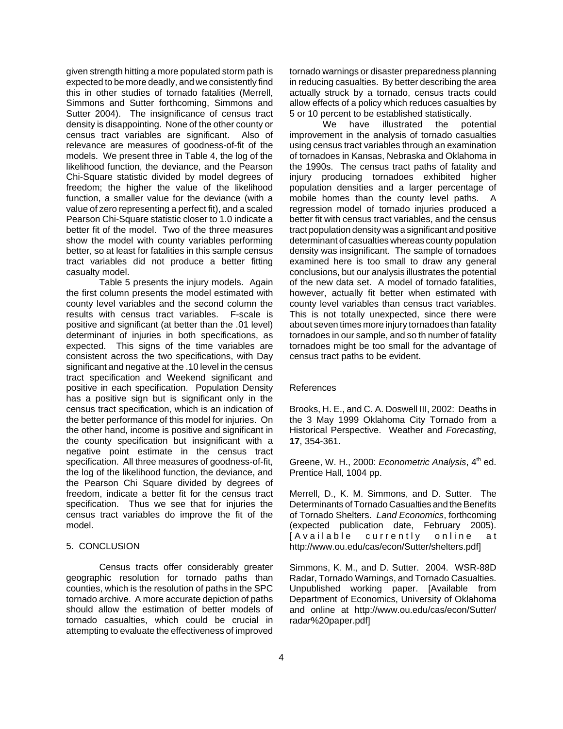given strength hitting a more populated storm path is expected to be more deadly, and we consistently find this in other studies of tornado fatalities (Merrell, Simmons and Sutter forthcoming, Simmons and Sutter 2004). The insignificance of census tract density is disappointing. None of the other county or census tract variables are significant. Also of relevance are measures of goodness-of-fit of the models. We present three in Table 4, the log of the likelihood function, the deviance, and the Pearson Chi-Square statistic divided by model degrees of freedom; the higher the value of the likelihood function, a smaller value for the deviance (with a value of zero representing a perfect fit), and a scaled Pearson Chi-Square statistic closer to 1.0 indicate a better fit of the model. Two of the three measures show the model with county variables performing better, so at least for fatalities in this sample census tract variables did not produce a better fitting casualty model.

Table 5 presents the injury models. Again the first column presents the model estimated with county level variables and the second column the results with census tract variables. F-scale is positive and significant (at better than the .01 level) determinant of injuries in both specifications, as expected. This signs of the time variables are consistent across the two specifications, with Day significant and negative at the .10 level in the census tract specification and Weekend significant and positive in each specification. Population Density has a positive sign but is significant only in the census tract specification, which is an indication of the better performance of this model for injuries. On the other hand, income is positive and significant in the county specification but insignificant with a negative point estimate in the census tract specification. All three measures of goodness-of-fit, the log of the likelihood function, the deviance, and the Pearson Chi Square divided by degrees of freedom, indicate a better fit for the census tract specification. Thus we see that for injuries the census tract variables do improve the fit of the model.

#### 5. CONCLUSION

Census tracts offer considerably greater geographic resolution for tornado paths than counties, which is the resolution of paths in the SPC tornado archive. A more accurate depiction of paths should allow the estimation of better models of tornado casualties, which could be crucial in attempting to evaluate the effectiveness of improved

tornado warnings or disaster preparedness planning in reducing casualties. By better describing the area actually struck by a tornado, census tracts could allow effects of a policy which reduces casualties by 5 or 10 percent to be established statistically.

We have illustrated the potential improvement in the analysis of tornado casualties using census tract variables through an examination of tornadoes in Kansas, Nebraska and Oklahoma in the 1990s. The census tract paths of fatality and injury producing tornadoes exhibited higher population densities and a larger percentage of mobile homes than the county level paths. A regression model of tornado injuries produced a better fit with census tract variables, and the census tract population density was a significant and positive determinant of casualties whereas county population density was insignificant. The sample of tornadoes examined here is too small to draw any general conclusions, but our analysis illustrates the potential of the new data set. A model of tornado fatalities, however, actually fit better when estimated with county level variables than census tract variables. This is not totally unexpected, since there were about seven times more injury tornadoes than fatality tornadoes in our sample, and so th number of fatality tornadoes might be too small for the advantage of census tract paths to be evident.

#### References

Brooks, H. E., and C. A. Doswell III, 2002: Deaths in the 3 May 1999 Oklahoma City Tornado from a Historical Perspective. Weather and *Forecasting*, **17**, 354-361.

Greene, W. H., 2000: *Econometric Analysis*, 4<sup>th</sup> ed. Prentice Hall, 1004 pp.

Merrell, D., K. M. Simmons, and D. Sutter. The Determinants of Tornado Casualties and the Benefits of Tornado Shelters. *Land Economics*, forthcoming (expected publication date, February 2005). [Available currently online at http://www.ou.edu/cas/econ/Sutter/shelters.pdf]

Simmons, K. M., and D. Sutter. 2004. WSR-88D Radar, Tornado Warnings, and Tornado Casualties. Unpublished working paper. [Available from Department of Economics, University of Oklahoma and online at http://www.ou.edu/cas/econ/Sutter/ radar%20paper.pdf]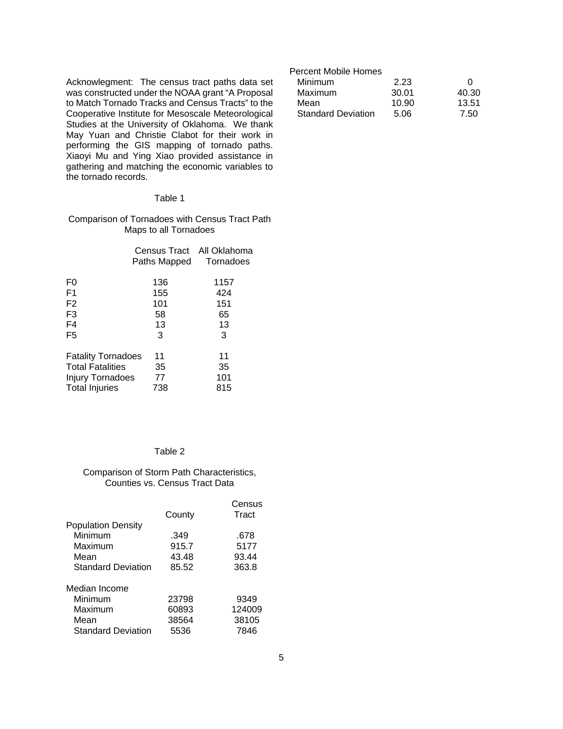Acknowlegment: The census tract paths data set was constructed under the NOAA grant "A Proposal to Match Tornado Tracks and Census Tracts" to the Cooperative Institute for Mesoscale Meteorological Studies at the University of Oklahoma. We thank May Yuan and Christie Clabot for their work in performing the GIS mapping of tornado paths. Xiaoyi Mu and Ying Xiao provided assistance in gathering and matching the economic variables to the tornado records.

### Table 1

Comparison of Tornadoes with Census Tract Path Maps to all Tornadoes

|                           | Census Tract All Oklahoma<br>Paths Mapped | Tornadoes |
|---------------------------|-------------------------------------------|-----------|
| F0                        | 136                                       | 1157      |
| F <sub>1</sub>            | 155                                       | 424       |
| F <sub>2</sub>            | 101                                       | 151       |
| F <sub>3</sub>            | 58                                        | 65        |
| F <sub>4</sub>            | 13                                        | 13        |
| F <sub>5</sub>            | 3                                         | 3         |
| <b>Fatality Tornadoes</b> | 11                                        | 11        |
| <b>Total Fatalities</b>   | 35                                        | 35        |
| Injury Tornadoes          | 77                                        | 101       |
| <b>Total Injuries</b>     | 738                                       | 815       |
|                           |                                           |           |

# Table 2

### Comparison of Storm Path Characteristics, Counties vs. Census Tract Data

|                           | County | Census<br>Tract |
|---------------------------|--------|-----------------|
| <b>Population Density</b> |        |                 |
| Minimum                   | .349   | .678            |
| Maximum                   | 915.7  | 5177            |
| Mean                      | 43.48  | 93.44           |
| <b>Standard Deviation</b> | 85.52  | 363.8           |
| Median Income             |        |                 |
| Minimum                   | 23798  | 9349            |
| Maximum                   | 60893  | 124009          |
| Mean                      | 38564  | 38105           |
| <b>Standard Deviation</b> | 5536   | 7846            |

# Percent Mobile Homes

| <b>Minimum</b>            | 2.23  |       |
|---------------------------|-------|-------|
| Maximum                   | 30.01 | 40.30 |
| Mean                      | 10.90 | 13.51 |
| <b>Standard Deviation</b> | 5.06  | 7.50  |
|                           |       |       |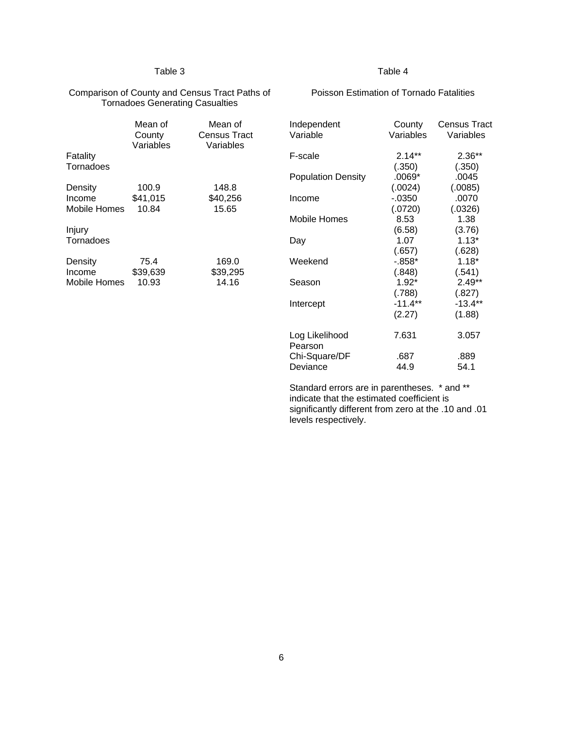### Table 3

### Table 4

#### Comparison of County and Census Tract Paths of Tornadoes Generating Casualties

# Poisson Estimation of Tornado Fatalities

Independent County Census Tract

| Fatality<br>Tornadoes | Mean of<br>County<br>Variables | Mean of<br>Census Tract<br>Variables |
|-----------------------|--------------------------------|--------------------------------------|
| Density               | 100.9                          | 148.8                                |
| Income                | \$41,015                       | \$40,256                             |
| Mobile Homes          | 10.84                          | 15.65                                |
| Injury<br>Tornadoes   |                                |                                      |
| Density               | 75.4                           | 169.0                                |
| Income                | \$39,639                       | \$39,295                             |
| Mobile Homes          | 10.93                          | 14.16                                |

| Variable                  | Variables            | Variables           |
|---------------------------|----------------------|---------------------|
| F-scale                   | $2.14**$             | $2.36**$            |
| <b>Population Density</b> | (.350)<br>$.0069*$   | (.350)<br>.0045     |
| Income                    | (.0024)<br>$-0.0350$ | (.0085)<br>.0070    |
| Mobile Homes              | (.0720)<br>8.53      | (.0326)<br>1.38     |
| Day                       | (6.58)<br>1.07       | (3.76)<br>$1.13*$   |
| Weekend                   | (.657)<br>$-0.858*$  | (.628)<br>$1.18*$   |
| Season                    | (.848)<br>$1.92*$    | (.541)<br>$2.49**$  |
| Intercept                 | (.788)<br>$-11.4**$  | (.827)<br>$-13.4**$ |
|                           | (2.27)               | (1.88)              |
| Log Likelihood<br>Pearson | 7.631                | 3.057               |
| Chi-Square/DF<br>Deviance | .687<br>44.9         | .889<br>54.1        |

Standard errors are in parentheses. \* and \*\* indicate that the estimated coefficient is significantly different from zero at the .10 and .01 levels respectively.